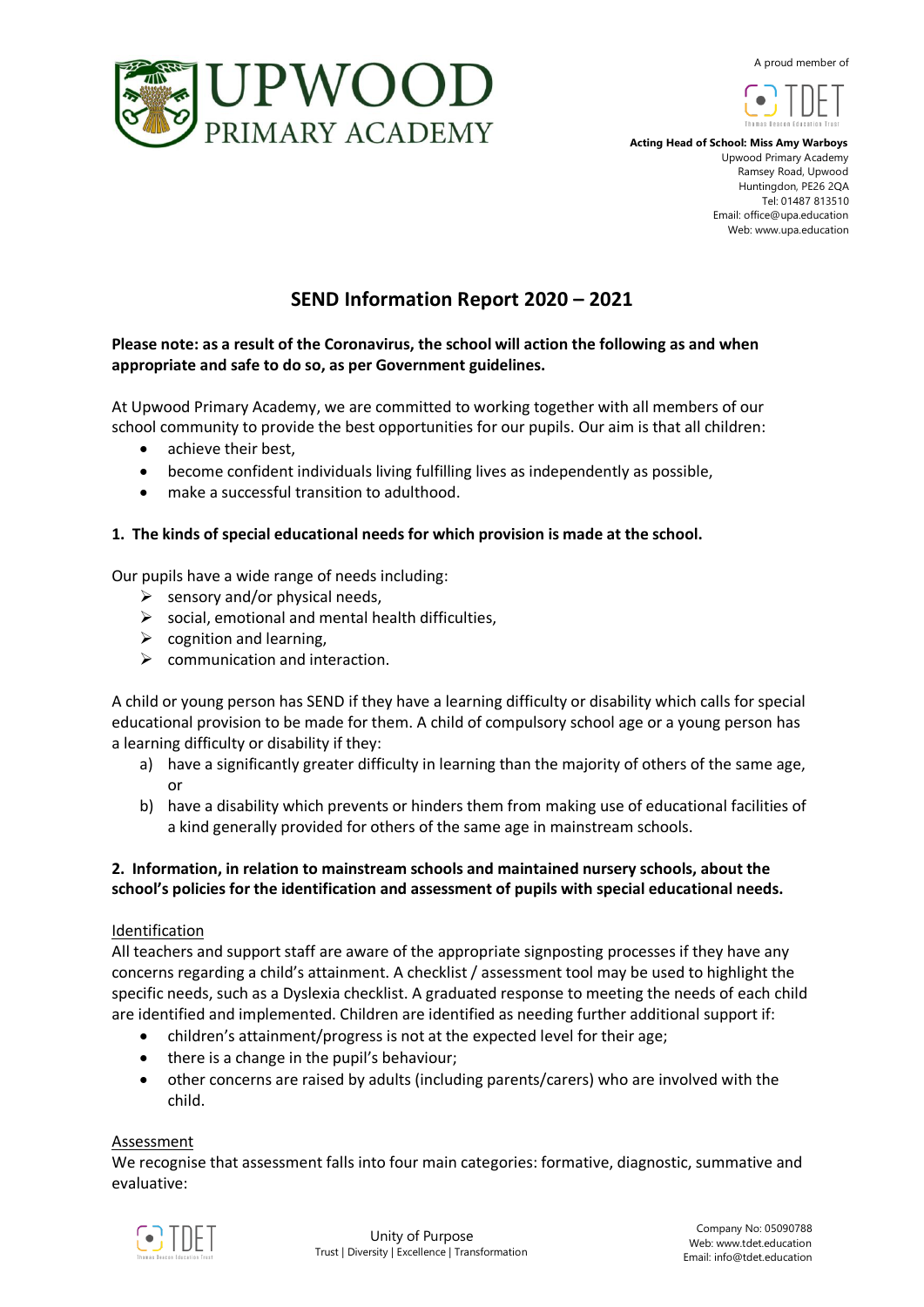A proud member of





 **Acting Head of School: Miss Amy Warboys** Upwood Primary Academy Ramsey Road, Upwood Huntingdon, PE26 2QA Tel: 01487 813510 Email: office@upa.education Web: www.upa.education

# **SEND Information Report 2020 – 2021**

# **Please note: as a result of the Coronavirus, the school will action the following as and when appropriate and safe to do so, as per Government guidelines.**

At Upwood Primary Academy, we are committed to working together with all members of our school community to provide the best opportunities for our pupils. Our aim is that all children:

- achieve their best,
- become confident individuals living fulfilling lives as independently as possible,
- make a successful transition to adulthood.

# **1. The kinds of special educational needs for which provision is made at the school.**

Our pupils have a wide range of needs including:

- $\triangleright$  sensory and/or physical needs,
- $\triangleright$  social, emotional and mental health difficulties,
- $\triangleright$  cognition and learning,
- $\triangleright$  communication and interaction.

A child or young person has SEND if they have a learning difficulty or disability which calls for special educational provision to be made for them. A child of compulsory school age or a young person has a learning difficulty or disability if they:

- a) have a significantly greater difficulty in learning than the majority of others of the same age, or
- b) have a disability which prevents or hinders them from making use of educational facilities of a kind generally provided for others of the same age in mainstream schools.

# **2. Information, in relation to mainstream schools and maintained nursery schools, about the school's policies for the identification and assessment of pupils with special educational needs.**

# Identification

All teachers and support staff are aware of the appropriate signposting processes if they have any concerns regarding a child's attainment. A checklist / assessment tool may be used to highlight the specific needs, such as a Dyslexia checklist. A graduated response to meeting the needs of each child are identified and implemented. Children are identified as needing further additional support if:

- children's attainment/progress is not at the expected level for their age;
- there is a change in the pupil's behaviour;
- other concerns are raised by adults (including parents/carers) who are involved with the child.

#### **Assessment**

We recognise that assessment falls into four main categories: formative, diagnostic, summative and evaluative:

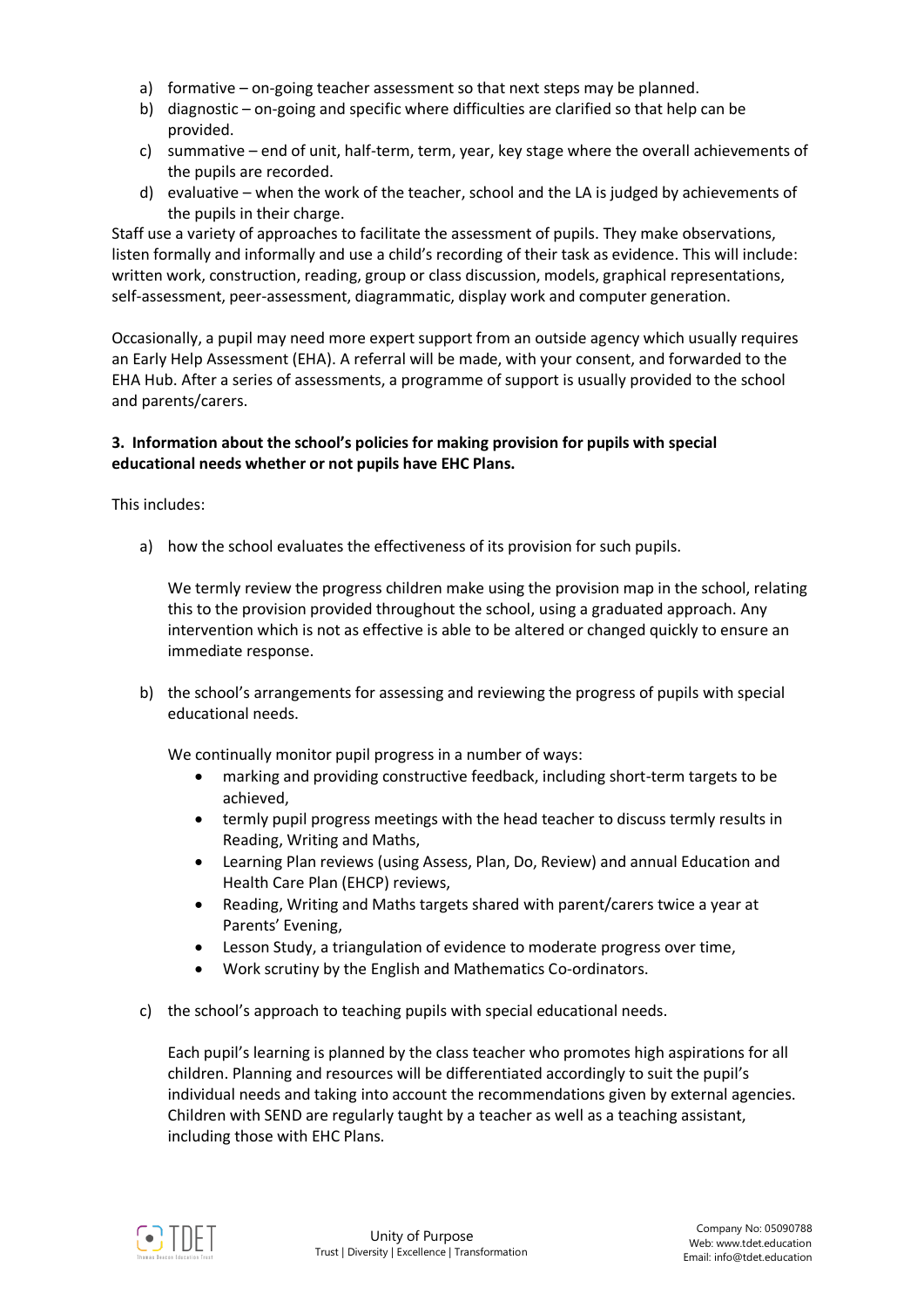- a) formative on-going teacher assessment so that next steps may be planned.
- b) diagnostic on-going and specific where difficulties are clarified so that help can be provided.
- c) summative end of unit, half-term, term, year, key stage where the overall achievements of the pupils are recorded.
- d) evaluative when the work of the teacher, school and the LA is judged by achievements of the pupils in their charge.

Staff use a variety of approaches to facilitate the assessment of pupils. They make observations, listen formally and informally and use a child's recording of their task as evidence. This will include: written work, construction, reading, group or class discussion, models, graphical representations, self-assessment, peer-assessment, diagrammatic, display work and computer generation.

Occasionally, a pupil may need more expert support from an outside agency which usually requires an Early Help Assessment (EHA). A referral will be made, with your consent, and forwarded to the EHA Hub. After a series of assessments, a programme of support is usually provided to the school and parents/carers.

# **3. Information about the school's policies for making provision for pupils with special educational needs whether or not pupils have EHC Plans.**

This includes:

a) how the school evaluates the effectiveness of its provision for such pupils.

We termly review the progress children make using the provision map in the school, relating this to the provision provided throughout the school, using a graduated approach. Any intervention which is not as effective is able to be altered or changed quickly to ensure an immediate response.

b) the school's arrangements for assessing and reviewing the progress of pupils with special educational needs.

We continually monitor pupil progress in a number of ways:

- marking and providing constructive feedback, including short-term targets to be achieved,
- termly pupil progress meetings with the head teacher to discuss termly results in Reading, Writing and Maths,
- Learning Plan reviews (using Assess, Plan, Do, Review) and annual Education and Health Care Plan (EHCP) reviews,
- Reading, Writing and Maths targets shared with parent/carers twice a year at Parents' Evening,
- Lesson Study, a triangulation of evidence to moderate progress over time,
- Work scrutiny by the English and Mathematics Co-ordinators.
- c) the school's approach to teaching pupils with special educational needs.

Each pupil's learning is planned by the class teacher who promotes high aspirations for all children. Planning and resources will be differentiated accordingly to suit the pupil's individual needs and taking into account the recommendations given by external agencies. Children with SEND are regularly taught by a teacher as well as a teaching assistant, including those with EHC Plans.

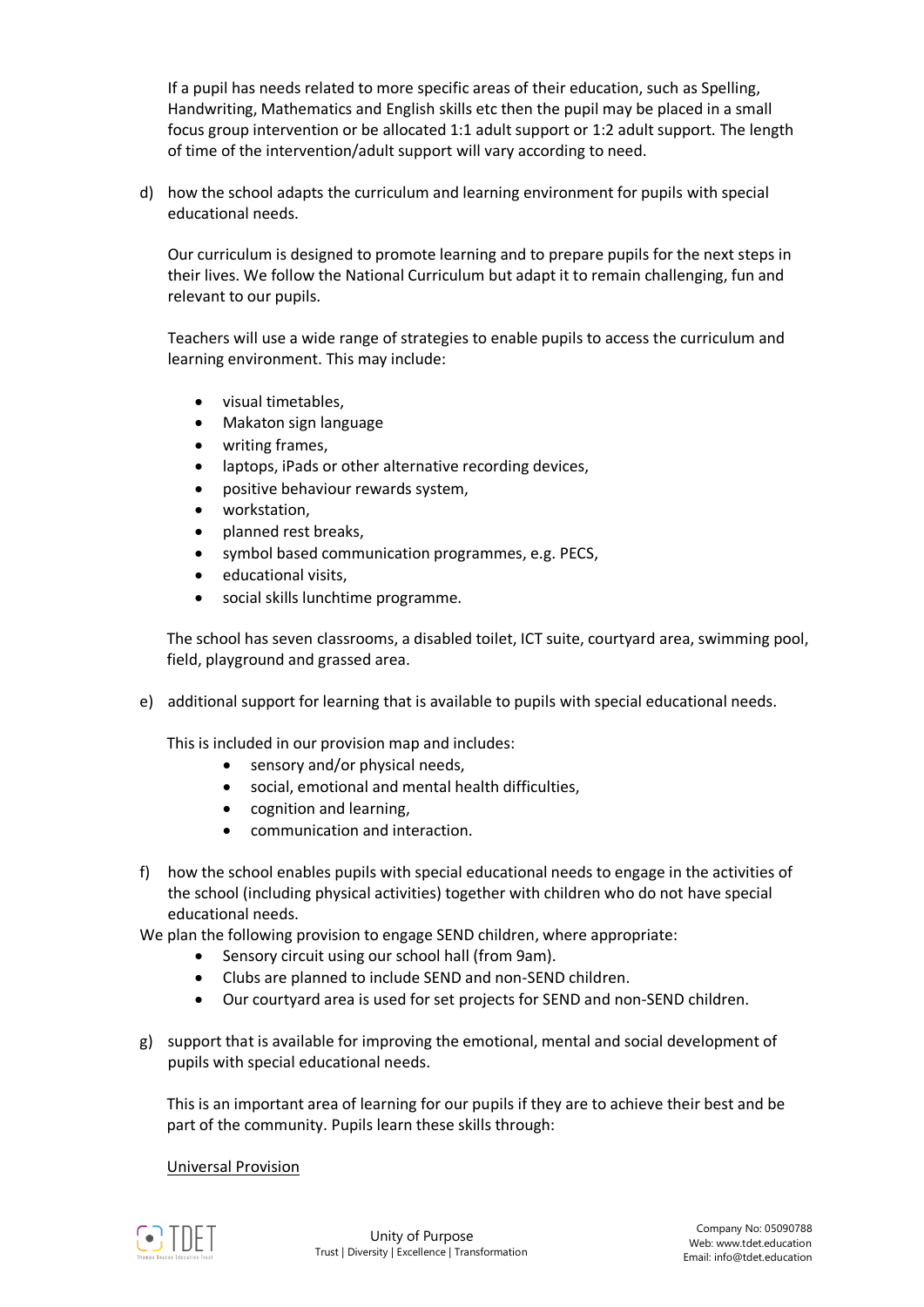If a pupil has needs related to more specific areas of their education, such as Spelling, Handwriting, Mathematics and English skills etc then the pupil may be placed in a small focus group intervention or be allocated 1:1 adult support or 1:2 adult support. The length of time of the intervention/adult support will vary according to need.

d) how the school adapts the curriculum and learning environment for pupils with special educational needs.

Our curriculum is designed to promote learning and to prepare pupils for the next steps in their lives. We follow the National Curriculum but adapt it to remain challenging, fun and relevant to our pupils.

Teachers will use a wide range of strategies to enable pupils to access the curriculum and learning environment. This may include:

- visual timetables.
- Makaton sign language
- writing frames,
- laptops, iPads or other alternative recording devices,
- positive behaviour rewards system,
- workstation,
- planned rest breaks,
- symbol based communication programmes, e.g. PECS,
- educational visits,
- social skills lunchtime programme.

The school has seven classrooms, a disabled toilet, ICT suite, courtyard area, swimming pool, field, playground and grassed area.

e) additional support for learning that is available to pupils with special educational needs.

This is included in our provision map and includes:

- sensory and/or physical needs,
- social, emotional and mental health difficulties,
- cognition and learning,
- communication and interaction.
- f) how the school enables pupils with special educational needs to engage in the activities of the school (including physical activities) together with children who do not have special educational needs.

We plan the following provision to engage SEND children, where appropriate:

- Sensory circuit using our school hall (from 9am).
- Clubs are planned to include SEND and non-SEND children.
- Our courtyard area is used for set projects for SEND and non-SEND children.
- g) support that is available for improving the emotional, mental and social development of pupils with special educational needs.

This is an important area of learning for our pupils if they are to achieve their best and be part of the community. Pupils learn these skills through:

#### Universal Provision

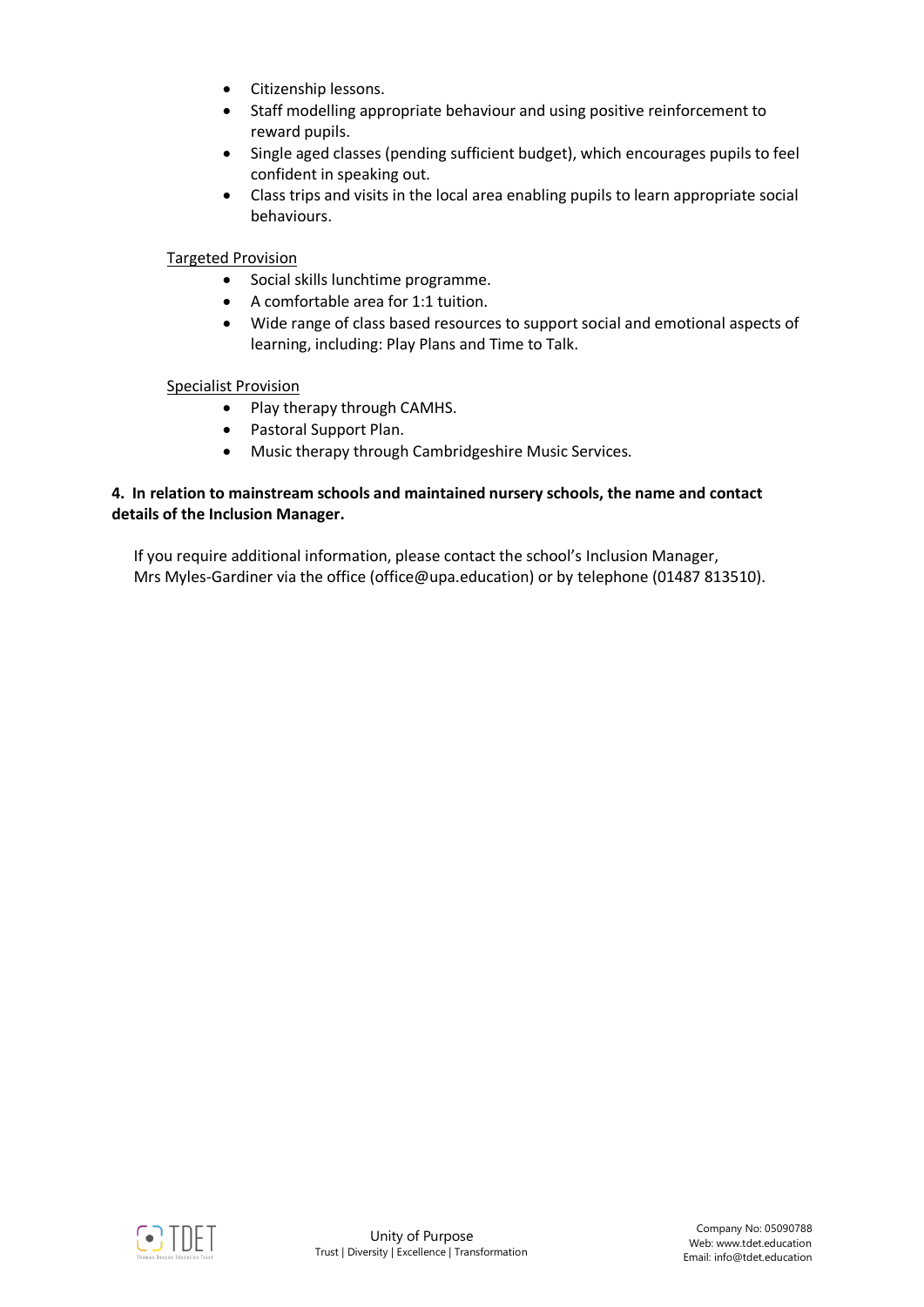- Citizenship lessons.
- Staff modelling appropriate behaviour and using positive reinforcement to reward pupils.
- Single aged classes (pending sufficient budget), which encourages pupils to feel confident in speaking out.
- Class trips and visits in the local area enabling pupils to learn appropriate social behaviours.

### Targeted Provision

- Social skills lunchtime programme.
- A comfortable area for 1:1 tuition.
- Wide range of class based resources to support social and emotional aspects of learning, including: Play Plans and Time to Talk.

#### Specialist Provision

- Play therapy through CAMHS.
- Pastoral Support Plan.
- Music therapy through Cambridgeshire Music Services.

#### **4. In relation to mainstream schools and maintained nursery schools, the name and contact details of the Inclusion Manager.**

If you require additional information, please contact the school's Inclusion Manager, Mrs Myles-Gardiner via the office (office@upa.education) or by telephone (01487 813510).

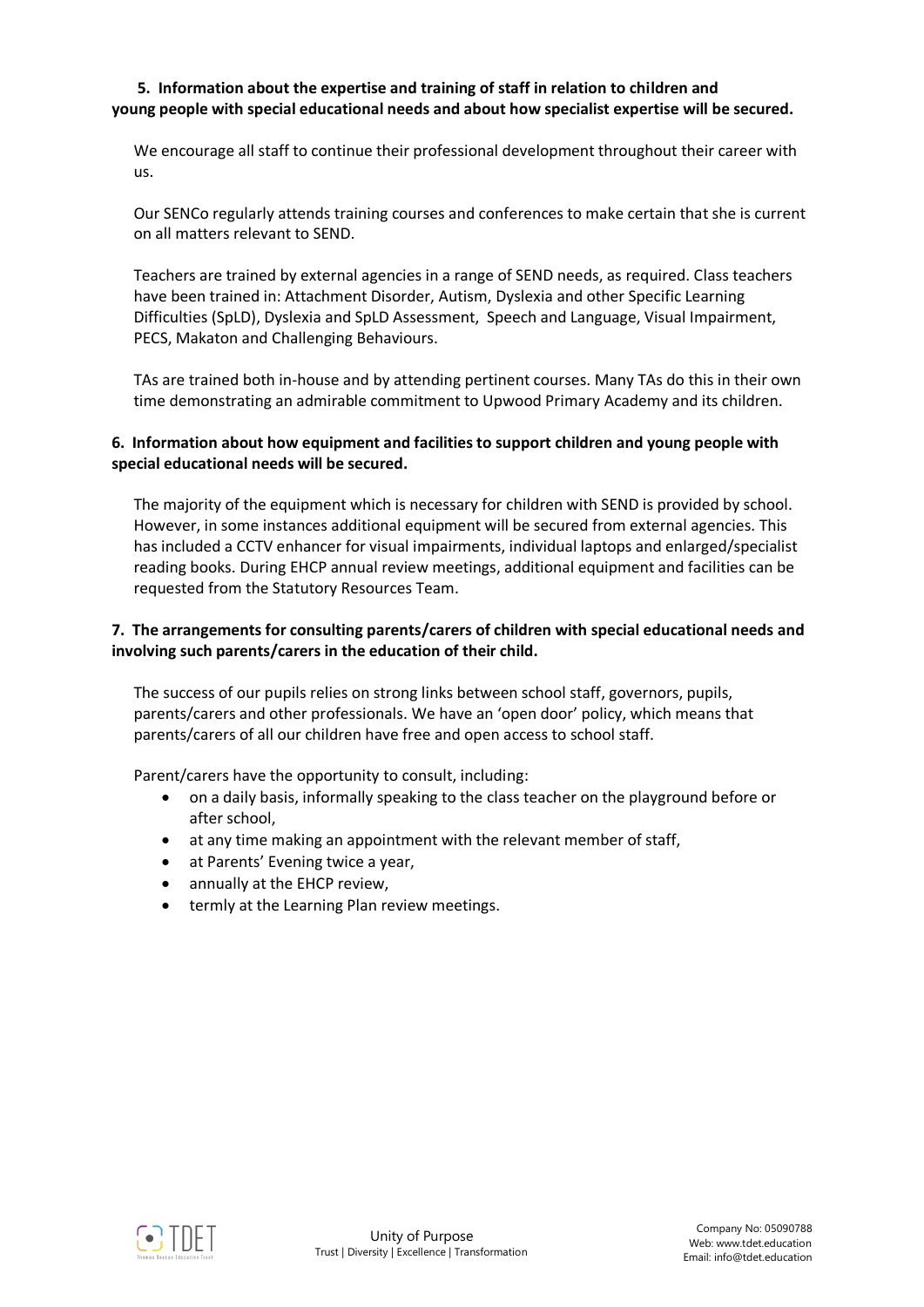### **5. Information about the expertise and training of staff in relation to children and young people with special educational needs and about how specialist expertise will be secured.**

We encourage all staff to continue their professional development throughout their career with us.

Our SENCo regularly attends training courses and conferences to make certain that she is current on all matters relevant to SEND.

Teachers are trained by external agencies in a range of SEND needs, as required. Class teachers have been trained in: Attachment Disorder, Autism, Dyslexia and other Specific Learning Difficulties (SpLD), Dyslexia and SpLD Assessment, Speech and Language, Visual Impairment, PECS, Makaton and Challenging Behaviours.

TAs are trained both in-house and by attending pertinent courses. Many TAs do this in their own time demonstrating an admirable commitment to Upwood Primary Academy and its children.

# **6. Information about how equipment and facilities to support children and young people with special educational needs will be secured.**

The majority of the equipment which is necessary for children with SEND is provided by school. However, in some instances additional equipment will be secured from external agencies. This has included a CCTV enhancer for visual impairments, individual laptops and enlarged/specialist reading books. During EHCP annual review meetings, additional equipment and facilities can be requested from the Statutory Resources Team.

# **7. The arrangements for consulting parents/carers of children with special educational needs and involving such parents/carers in the education of their child.**

The success of our pupils relies on strong links between school staff, governors, pupils, parents/carers and other professionals. We have an 'open door' policy, which means that parents/carers of all our children have free and open access to school staff.

Parent/carers have the opportunity to consult, including:

- on a daily basis, informally speaking to the class teacher on the playground before or after school,
- at any time making an appointment with the relevant member of staff,
- at Parents' Evening twice a year.
- annually at the EHCP review,
- termly at the Learning Plan review meetings.

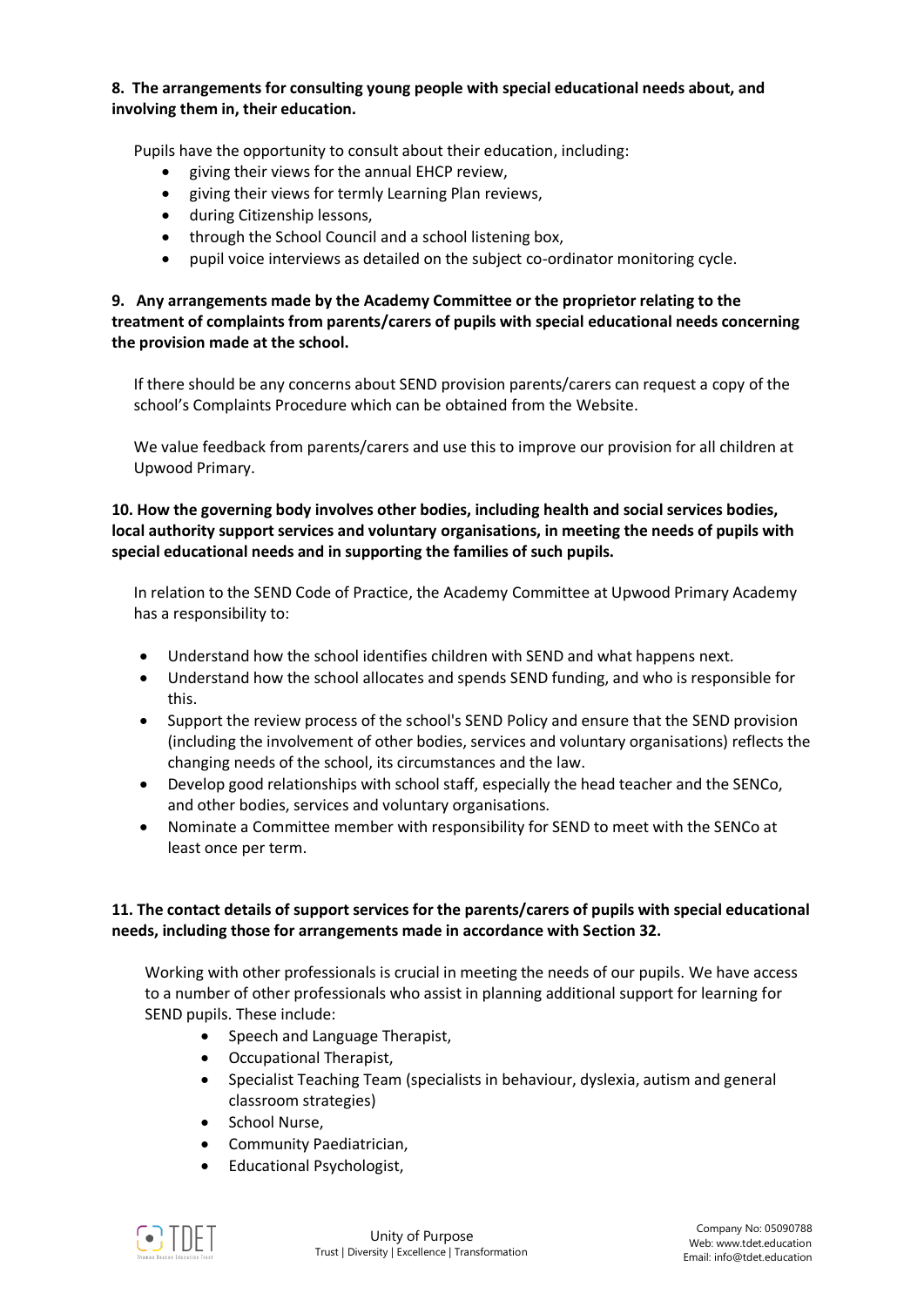### **8. The arrangements for consulting young people with special educational needs about, and involving them in, their education.**

Pupils have the opportunity to consult about their education, including:

- giving their views for the annual EHCP review,
- giving their views for termly Learning Plan reviews,
- during Citizenship lessons,
- through the School Council and a school listening box,
- pupil voice interviews as detailed on the subject co-ordinator monitoring cycle.

**9. Any arrangements made by the Academy Committee or the proprietor relating to the treatment of complaints from parents/carers of pupils with special educational needs concerning the provision made at the school.**

If there should be any concerns about SEND provision parents/carers can request a copy of the school's Complaints Procedure which can be obtained from the Website.

We value feedback from parents/carers and use this to improve our provision for all children at Upwood Primary.

**10. How the governing body involves other bodies, including health and social services bodies, local authority support services and voluntary organisations, in meeting the needs of pupils with special educational needs and in supporting the families of such pupils.** 

In relation to the SEND Code of Practice, the Academy Committee at Upwood Primary Academy has a responsibility to:

- Understand how the school identifies children with SEND and what happens next.
- Understand how the school allocates and spends SEND funding, and who is responsible for this.
- Support the review process of the school's SEND Policy and ensure that the SEND provision (including the involvement of other bodies, services and voluntary organisations) reflects the changing needs of the school, its circumstances and the law.
- Develop good relationships with school staff, especially the head teacher and the SENCo, and other bodies, services and voluntary organisations.
- Nominate a Committee member with responsibility for SEND to meet with the SENCo at least once per term.

# **11. The contact details of support services for the parents/carers of pupils with special educational needs, including those for arrangements made in accordance with Section 32.**

Working with other professionals is crucial in meeting the needs of our pupils. We have access to a number of other professionals who assist in planning additional support for learning for SEND pupils. These include:

- Speech and Language Therapist,
- Occupational Therapist,
- Specialist Teaching Team (specialists in behaviour, dyslexia, autism and general classroom strategies)
- School Nurse,
- Community Paediatrician,
- Educational Psychologist,